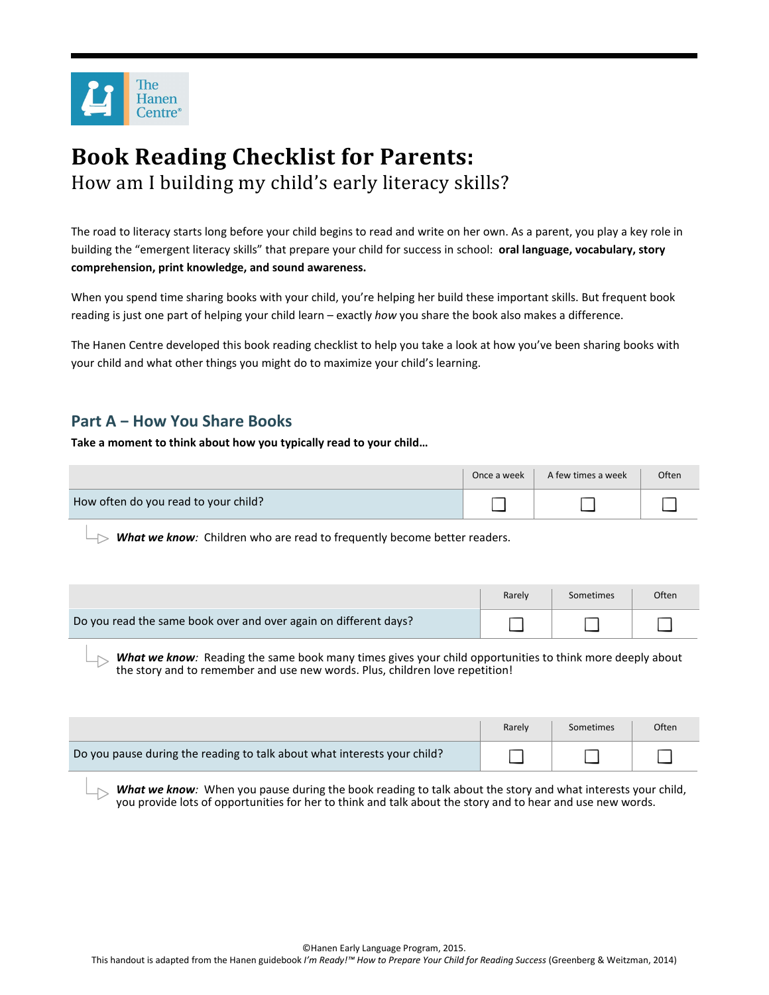

# **Book Reading Checklist for Parents:** How am I building my child's early literacy skills?

The road to literacy starts long before your child begins to read and write on her own. As a parent, you play a key role in building the "emergent literacy skills" that prepare your child for success in school: **oral language, vocabulary, story comprehension, print knowledge, and sound awareness.** 

When you spend time sharing books with your child, you're helping her build these important skills. But frequent book reading is just one part of helping your child learn – exactly *how* you share the book also makes a difference.

The Hanen Centre developed this book reading checklist to help you take a look at how you've been sharing books with your child and what other things you might do to maximize your child's learning.

### **Part A − How You Share Books**

**Take a moment to think about how you typically read to your child…** 

|                                      | Once a week | A few times a week | Often |
|--------------------------------------|-------------|--------------------|-------|
| How often do you read to your child? |             |                    |       |

*What we know:* Children who are read to frequently become better readers.

|                                                                  | Rarely | Sometimes | Often |
|------------------------------------------------------------------|--------|-----------|-------|
| Do you read the same book over and over again on different days? |        |           |       |

*What we know:* Reading the same book many times gives your child opportunities to think more deeply about the story and to remember and use new words. Plus, children love repetition!

|                                                                          | Rarely | Sometimes | Often |
|--------------------------------------------------------------------------|--------|-----------|-------|
| Do you pause during the reading to talk about what interests your child? |        |           |       |

**What we know**: When you pause during the book reading to talk about the story and what interests your child, you provide lots of opportunities for her to think and talk about the story and to hear and use new words.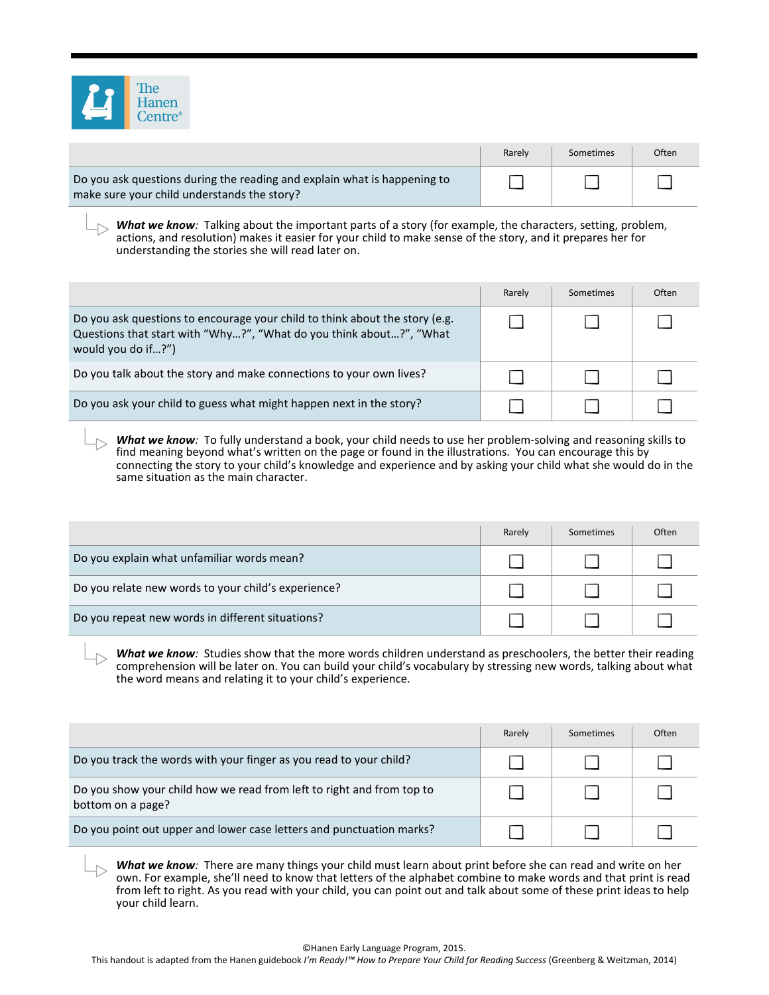

|                                                                                                                         | Rarely | Sometimes | Often |
|-------------------------------------------------------------------------------------------------------------------------|--------|-----------|-------|
| Do you ask questions during the reading and explain what is happening to<br>make sure your child understands the story? |        |           |       |

**What we know**: Talking about the important parts of a story (for example, the characters, setting, problem, actions, and resolution) makes it easier for your child to make sense of the story, and it prepares her for understanding the stories she will read later on.

|                                                                                                                                                                          | Rarely | Sometimes | Often |
|--------------------------------------------------------------------------------------------------------------------------------------------------------------------------|--------|-----------|-------|
| Do you ask questions to encourage your child to think about the story (e.g.<br>Questions that start with "Why?", "What do you think about?", "What<br>would you do if?") |        |           |       |
| Do you talk about the story and make connections to your own lives?                                                                                                      |        |           |       |
| Do you ask your child to guess what might happen next in the story?                                                                                                      |        |           |       |

*What we know:* To fully understand a book, your child needs to use her problem-solving and reasoning skills to find meaning beyond what's written on the page or found in the illustrations. You can encourage this by connecting the story to your child's knowledge and experience and by asking your child what she would do in the same situation as the main character.

|                                                     | Rarely | Sometimes | Often |
|-----------------------------------------------------|--------|-----------|-------|
| Do you explain what unfamiliar words mean?          |        |           |       |
| Do you relate new words to your child's experience? |        |           |       |
| Do you repeat new words in different situations?    |        |           |       |

*What we know:* Studies show that the more words children understand as preschoolers, the better their reading comprehension will be later on. You can build your child's vocabulary by stressing new words, talking about what the word means and relating it to your child's experience.

|                                                                                            | Rarely | Sometimes | Often |
|--------------------------------------------------------------------------------------------|--------|-----------|-------|
| Do you track the words with your finger as you read to your child?                         |        |           |       |
| Do you show your child how we read from left to right and from top to<br>bottom on a page? |        |           |       |
| Do you point out upper and lower case letters and punctuation marks?                       |        |           |       |

*What we know:* There are many things your child must learn about print before she can read and write on her own. For example, she'll need to know that letters of the alphabet combine to make words and that print is read from left to right. As you read with your child, you can point out and talk about some of these print ideas to help your child learn.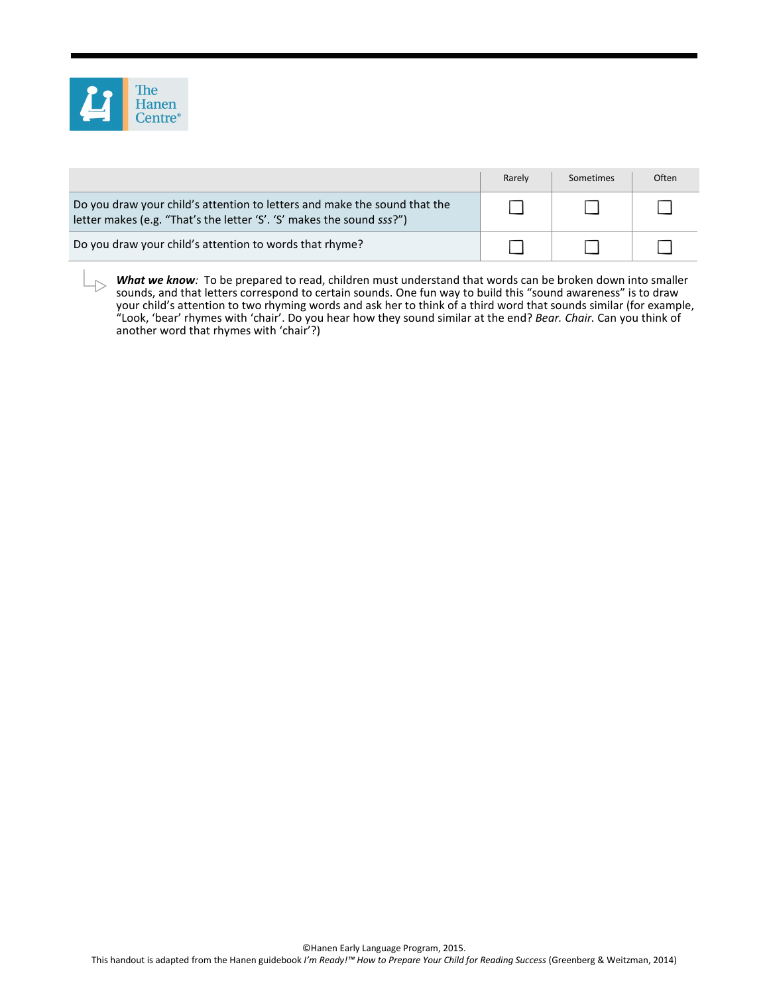

|                                                                                                                                                    | Rarely | Sometimes | Often |
|----------------------------------------------------------------------------------------------------------------------------------------------------|--------|-----------|-------|
| Do you draw your child's attention to letters and make the sound that the<br>letter makes (e.g. "That's the letter 'S'. 'S' makes the sound sss?") |        |           |       |
| Do you draw your child's attention to words that rhyme?                                                                                            |        |           |       |

What we know: To be prepared to read, children must understand that words can be broken down into smaller sounds, and that letters correspond to certain sounds. One fun way to build this "sound awareness" is to draw your child's attention to two rhyming words and ask her to think of a third word that sounds similar (for example, "Look, 'bear' rhymes with 'chair'. Do you hear how they sound similar at the end? *Bear. Chair.* Can you think of another word that rhymes with 'chair'?)